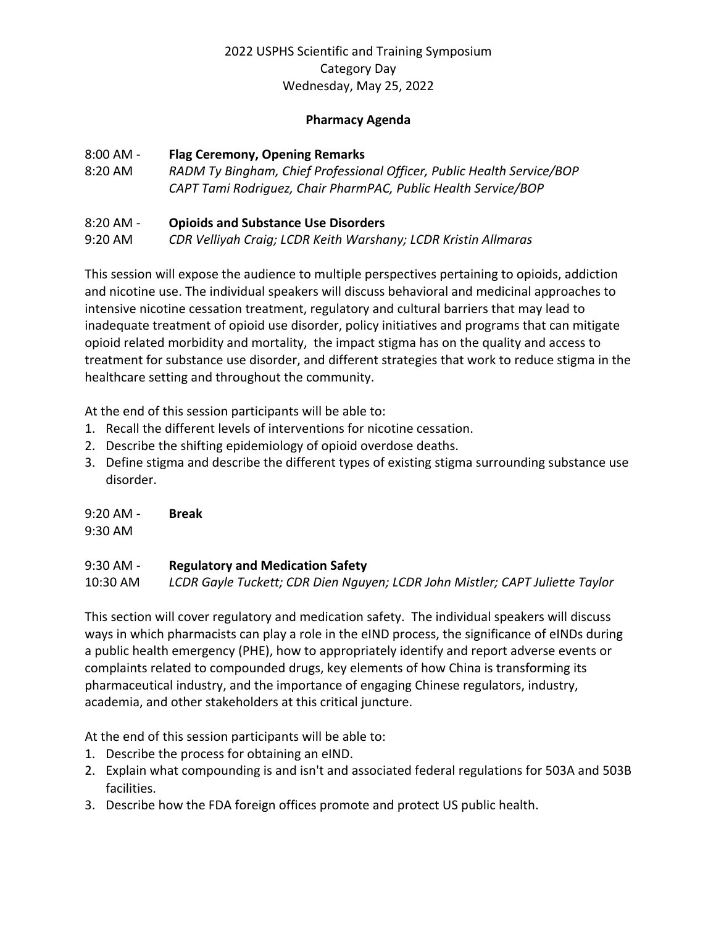# 2022 USPHS Scientific and Training Symposium Category Day Wednesday, May 25, 2022

### **Pharmacy Agenda**

### 8:00 AM - **Flag Ceremony, Opening Remarks**

8:20 AM *RADM Ty Bingham, Chief Professional Officer, Public Health Service/BOP CAPT Tami Rodriguez, Chair PharmPAC, Public Health Service/BOP* 

## 8:20 AM - **Opioids and Substance Use Disorders**

9:20 AM *CDR Velliyah Craig; LCDR Keith Warshany; LCDR Kristin Allmaras* 

This session will expose the audience to multiple perspectives pertaining to opioids, addiction and nicotine use. The individual speakers will discuss behavioral and medicinal approaches to intensive nicotine cessation treatment, regulatory and cultural barriers that may lead to inadequate treatment of opioid use disorder, policy initiatives and programs that can mitigate opioid related morbidity and mortality, the impact stigma has on the quality and access to treatment for substance use disorder, and different strategies that work to reduce stigma in the healthcare setting and throughout the community.

At the end of this session participants will be able to:

- 1. Recall the different levels of interventions for nicotine cessation.
- 2. Describe the shifting epidemiology of opioid overdose deaths.
- 3. Define stigma and describe the different types of existing stigma surrounding substance use disorder.

9:20 AM - **Break**

9:30 AM

#### 9:30 AM - **Regulatory and Medication Safety**

10:30 AM *LCDR Gayle Tuckett; CDR Dien Nguyen; LCDR John Mistler; CAPT Juliette Taylor* 

This section will cover regulatory and medication safety. The individual speakers will discuss ways in which pharmacists can play a role in the eIND process, the significance of eINDs during a public health emergency (PHE), how to appropriately identify and report adverse events or complaints related to compounded drugs, key elements of how China is transforming its pharmaceutical industry, and the importance of engaging Chinese regulators, industry, academia, and other stakeholders at this critical juncture.

At the end of this session participants will be able to:

- 1. Describe the process for obtaining an eIND.
- 2. Explain what compounding is and isn't and associated federal regulations for 503A and 503B facilities.
- 3. Describe how the FDA foreign offices promote and protect US public health.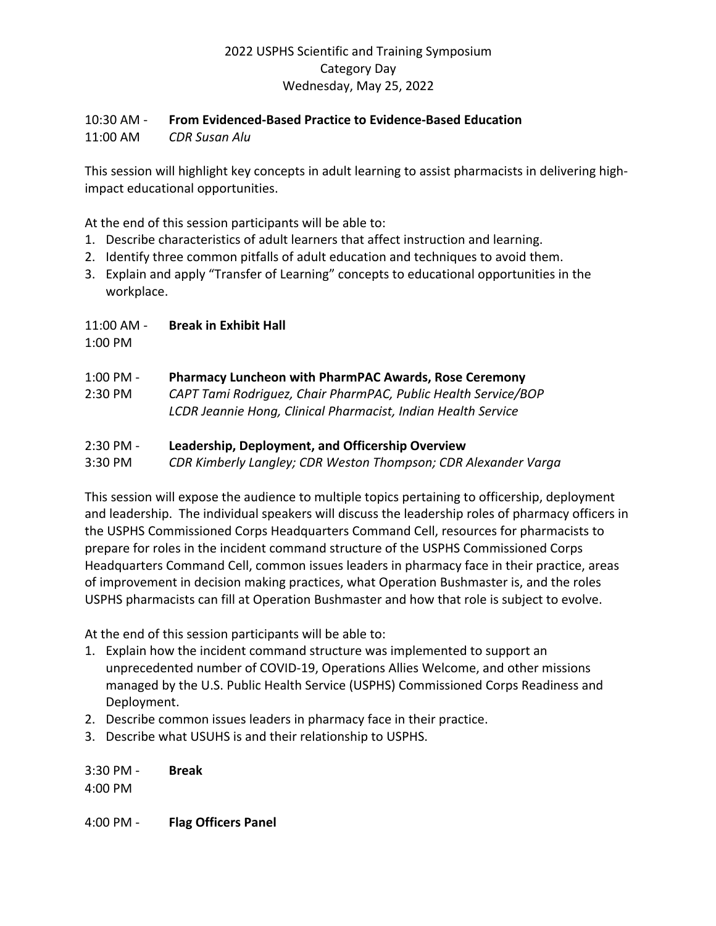# 2022 USPHS Scientific and Training Symposium Category Day Wednesday, May 25, 2022

#### 10:30 AM - **From Evidenced-Based Practice to Evidence-Based Education**

11:00 AM *CDR Susan Alu* 

This session will highlight key concepts in adult learning to assist pharmacists in delivering highimpact educational opportunities.

At the end of this session participants will be able to:

- 1. Describe characteristics of adult learners that affect instruction and learning.
- 2. Identify three common pitfalls of adult education and techniques to avoid them.
- 3. Explain and apply "Transfer of Learning" concepts to educational opportunities in the workplace.

11:00 AM - **Break in Exhibit Hall**

1:00 PM

## 1:00 PM - **Pharmacy Luncheon with PharmPAC Awards, Rose Ceremony**

2:30 PM *CAPT Tami Rodriguez, Chair PharmPAC, Public Health Service/BOP LCDR Jeannie Hong, Clinical Pharmacist, Indian Health Service* 

## 2:30 PM - **Leadership, Deployment, and Officership Overview**

3:30 PM *CDR Kimberly Langley; CDR Weston Thompson; CDR Alexander Varga* 

This session will expose the audience to multiple topics pertaining to officership, deployment and leadership. The individual speakers will discuss the leadership roles of pharmacy officers in the USPHS Commissioned Corps Headquarters Command Cell, resources for pharmacists to prepare for roles in the incident command structure of the USPHS Commissioned Corps Headquarters Command Cell, common issues leaders in pharmacy face in their practice, areas of improvement in decision making practices, what Operation Bushmaster is, and the roles USPHS pharmacists can fill at Operation Bushmaster and how that role is subject to evolve.

At the end of this session participants will be able to:

- 1. Explain how the incident command structure was implemented to support an unprecedented number of COVID-19, Operations Allies Welcome, and other missions managed by the U.S. Public Health Service (USPHS) Commissioned Corps Readiness and Deployment.
- 2. Describe common issues leaders in pharmacy face in their practice.
- 3. Describe what USUHS is and their relationship to USPHS.

3:30 PM - **Break** 4:00 PM

4:00 PM - **Flag Officers Panel**